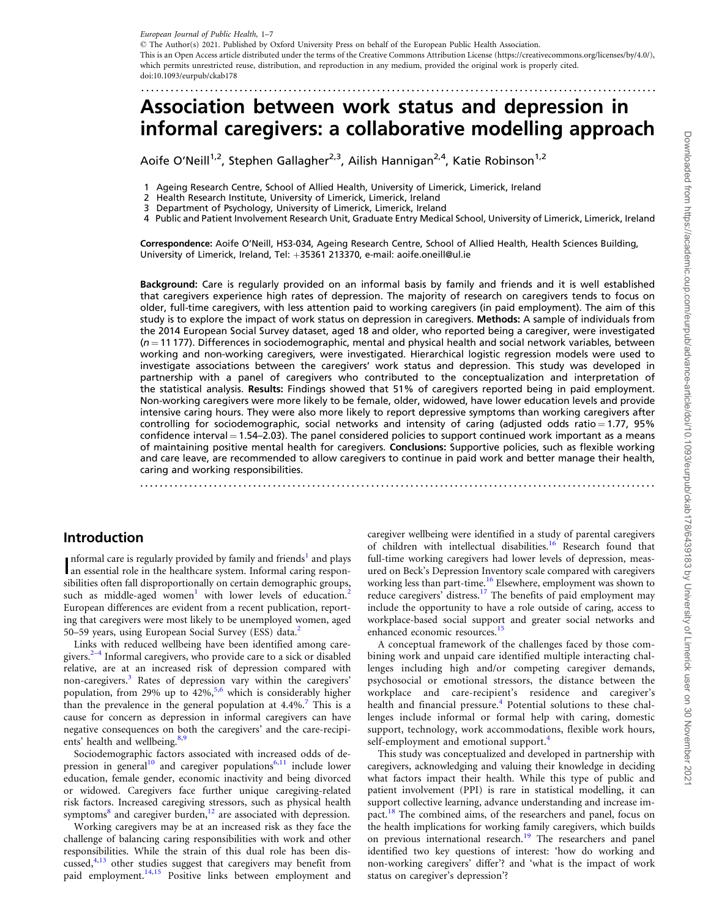<span id="page-0-0"></span>European Journal of Public Health, 1–7 - The Author(s) 2021. Published by Oxford University Press on behalf of the European Public Health Association. This is an Open Access article distributed under the terms of the Creative Commons Attribution License (https://creativecommons.org/licenses/by/4.0/), which permits unrestricted reuse, distribution, and reproduction in any medium, provided the original work is properly cited. doi:10.1093/eurpub/ckab178

# Association between work status and depression in informal caregivers: a collaborative modelling approach

.........................................................................................................

Aoife O'Neill<sup>1,2</sup>, Stephen Gallagher<sup>2,3</sup>, Ailish Hannigan<sup>2,4</sup>, Katie Robinson<sup>1,2</sup>

1 Ageing Research Centre, School of Allied Health, University of Limerick, Limerick, Ireland

- 2 Health Research Institute, University of Limerick, Limerick, Ireland
- Department of Psychology, University of Limerick, Limerick, Ireland

4 Public and Patient Involvement Research Unit, Graduate Entry Medical School, University of Limerick, Limerick, Ireland

Correspondence: Aoife O'Neill, HS3-034, Ageing Research Centre, School of Allied Health, Health Sciences Building, University of Limerick, Ireland, Tel: +35361 213370, e-mail: aoife.oneill@ul.ie

Background: Care is regularly provided on an informal basis by family and friends and it is well established that caregivers experience high rates of depression. The majority of research on caregivers tends to focus on older, full-time caregivers, with less attention paid to working caregivers (in paid employment). The aim of this study is to explore the impact of work status on depression in caregivers. Methods: A sample of individuals from the 2014 European Social Survey dataset, aged 18 and older, who reported being a caregiver, were investigated  $(n = 11 177)$ . Differences in sociodemographic, mental and physical health and social network variables, between working and non-working caregivers, were investigated. Hierarchical logistic regression models were used to investigate associations between the caregivers' work status and depression. This study was developed in partnership with a panel of caregivers who contributed to the conceptualization and interpretation of the statistical analysis. Results: Findings showed that 51% of caregivers reported being in paid employment. Non-working caregivers were more likely to be female, older, widowed, have lower education levels and provide intensive caring hours. They were also more likely to report depressive symptoms than working caregivers after controlling for sociodemographic, social networks and intensity of caring (adjusted odds ratio = 1.77, 95%) confidence interval = 1.54–2.03). The panel considered policies to support continued work important as a means of maintaining positive mental health for caregivers. Conclusions: Supportive policies, such as flexible working and care leave, are recommended to allow caregivers to continue in paid work and better manage their health, caring and working responsibilities. .........................................................................................................

### Introduction

Informal care is regularly provided by family and friends' and plays<br>an essential role in the healthcare system. Informal caring respon-nformal care is regularly provided by family and friends<sup>[1](#page-5-0)</sup> and plays sibilities often fall disproportionally on certain demographic groups, such as middle-aged women<sup>[1](#page-5-0)</sup> with lower levels of education.<sup>[2](#page-5-0)</sup> European differences are evident from a recent publication, reporting that caregivers were most likely to be unemployed women, aged 50–59 years, using European Social Survey (ESS) data.<sup>2</sup>

Links with reduced wellbeing have been identified among caregivers. $2-4$  Informal caregivers, who provide care to a sick or disabled relative, are at an increased risk of depression compared with non-caregivers.[3](#page-5-0) Rates of depression vary within the caregivers' population, from 29% up to  $42\%$ <sup>[5,6](#page-5-0)</sup> which is considerably higher than the prevalence in the general population at  $4.4\%$ .<sup>[7](#page-5-0)</sup> This is a cause for concern as depression in informal caregivers can have negative consequences on both the caregivers' and the care-recipi-ents' health and wellbeing.<sup>[8](#page-5-0),[9](#page-5-0)</sup>

Sociodemographic factors associated with increased odds of de-pression in general<sup>[10](#page-5-0)</sup> and caregiver populations<sup>[6,11](#page-5-0)</sup> include lower education, female gender, economic inactivity and being divorced or widowed. Caregivers face further unique caregiving-related risk factors. Increased caregiving stressors, such as physical health symptoms<sup>8</sup> and caregiver burden,<sup>[12](#page-5-0)</sup> are associated with depression.

Working caregivers may be at an increased risk as they face the challenge of balancing caring responsibilities with work and other responsibilities. While the strain of this dual role has been discussed, $4,13$  other studies suggest that caregivers may benefit from paid employment.<sup>[14,15](#page-5-0)</sup> Positive links between employment and caregiver wellbeing were identified in a study of parental caregivers of children with intellectual disabilities.<sup>[16](#page-5-0)</sup> Research found that full-time working caregivers had lower levels of depression, measured on Beck's Depression Inventory scale compared with caregivers working less than part-time.<sup>[16](#page-5-0)</sup> Elsewhere, employment was shown to reduce caregivers' distress.<sup>17</sup> The benefits of paid employment may include the opportunity to have a role outside of caring, access to workplace-based social support and greater social networks and enhanced economic resources.<sup>[15](#page-5-0)</sup>

A conceptual framework of the challenges faced by those combining work and unpaid care identified multiple interacting challenges including high and/or competing caregiver demands, psychosocial or emotional stressors, the distance between the workplace and care-recipient's residence and caregiver's health and financial pressure.<sup>[4](#page-5-0)</sup> Potential solutions to these challenges include informal or formal help with caring, domestic support, technology, work accommodations, flexible work hours, self-employment and emotional support.<sup>[4](#page-5-0)</sup>

This study was conceptualized and developed in partnership with caregivers, acknowledging and valuing their knowledge in deciding what factors impact their health. While this type of public and patient involvement (PPI) is rare in statistical modelling, it can support collective learning, advance understanding and increase impact.[18](#page-5-0) The combined aims, of the researchers and panel, focus on the health implications for working family caregivers, which builds on previous international research.<sup>[19](#page-5-0)</sup> The researchers and panel identified two key questions of interest: 'how do working and non-working caregivers' differ'? and 'what is the impact of work status on caregiver's depression'?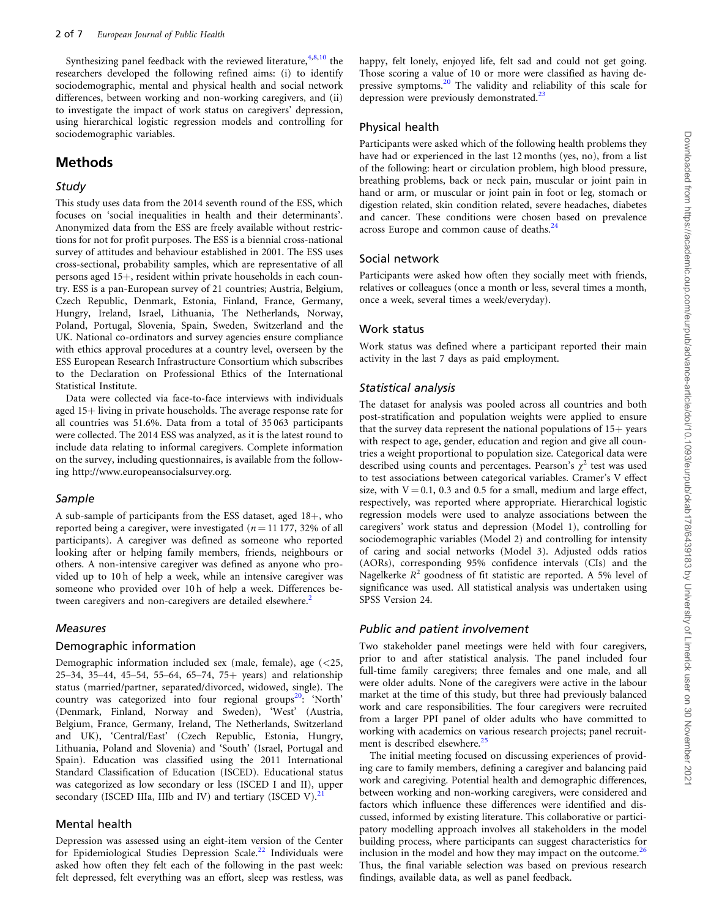<span id="page-1-0"></span>Synthesizing panel feedback with the reviewed literature,  $4,8,10$  $4,8,10$  $4,8,10$  $4,8,10$  $4,8,10$  the researchers developed the following refined aims: (i) to identify sociodemographic, mental and physical health and social network differences, between working and non-working caregivers, and (ii) to investigate the impact of work status on caregivers' depression, using hierarchical logistic regression models and controlling for sociodemographic variables.

### Methods

#### Study

This study uses data from the 2014 seventh round of the ESS, which focuses on 'social inequalities in health and their determinants'. Anonymized data from the ESS are freely available without restrictions for not for profit purposes. The ESS is a biennial cross-national survey of attitudes and behaviour established in 2001. The ESS uses cross-sectional, probability samples, which are representative of all persons aged 15+, resident within private households in each country. ESS is a pan-European survey of 21 countries; Austria, Belgium, Czech Republic, Denmark, Estonia, Finland, France, Germany, Hungry, Ireland, Israel, Lithuania, The Netherlands, Norway, Poland, Portugal, Slovenia, Spain, Sweden, Switzerland and the UK. National co-ordinators and survey agencies ensure compliance with ethics approval procedures at a country level, overseen by the ESS European Research Infrastructure Consortium which subscribes to the Declaration on Professional Ethics of the International Statistical Institute.

Data were collected via face-to-face interviews with individuals aged 15+ living in private households. The average response rate for all countries was 51.6%. Data from a total of 35 063 participants were collected. The 2014 ESS was analyzed, as it is the latest round to include data relating to informal caregivers. Complete information on the survey, including questionnaires, is available from the following<http://www.europeansocialsurvey.org>.

#### Sample

A sub-sample of participants from the ESS dataset, aged  $18+$ , who reported being a caregiver, were investigated ( $n = 11 177$ , 32% of all participants). A caregiver was defined as someone who reported looking after or helping family members, friends, neighbours or others. A non-intensive caregiver was defined as anyone who provided up to 10 h of help a week, while an intensive caregiver was someone who provided over 10 h of help a week. Differences be-tween caregivers and non-caregivers are detailed elsewhere.<sup>[2](#page-5-0)</sup>

#### Measures

#### Demographic information

Demographic information included sex (male, female), age (<25, 25–34, 35–44, 45–54, 55–64, 65–74, 75+ years) and relationship status (married/partner, separated/divorced, widowed, single). The country was categorized into four regional groups<sup>[20](#page-5-0)</sup>: 'North' (Denmark, Finland, Norway and Sweden), 'West' (Austria, Belgium, France, Germany, Ireland, The Netherlands, Switzerland and UK), 'Central/East' (Czech Republic, Estonia, Hungry, Lithuania, Poland and Slovenia) and 'South' (Israel, Portugal and Spain). Education was classified using the 2011 International Standard Classification of Education (ISCED). Educational status was categorized as low secondary or less (ISCED I and II), upper secondary (ISCED IIIa, IIIb and IV) and tertiary (ISCED V). $^{2}$ 

#### Mental health

Depression was assessed using an eight-item version of the Center for Epidemiological Studies Depression Scale.<sup>22</sup> Individuals were asked how often they felt each of the following in the past week: felt depressed, felt everything was an effort, sleep was restless, was happy, felt lonely, enjoyed life, felt sad and could not get going. Those scoring a value of 10 or more were classified as having depressive symptoms.[20](#page-5-0) The validity and reliability of this scale for depression were previously demonstrated. $23$ 

#### Physical health

Participants were asked which of the following health problems they have had or experienced in the last 12 months (yes, no), from a list of the following: heart or circulation problem, high blood pressure, breathing problems, back or neck pain, muscular or joint pain in hand or arm, or muscular or joint pain in foot or leg, stomach or digestion related, skin condition related, severe headaches, diabetes and cancer. These conditions were chosen based on prevalence across Europe and common cause of deaths.<sup>[24](#page-5-0)</sup>

#### Social network

Participants were asked how often they socially meet with friends, relatives or colleagues (once a month or less, several times a month, once a week, several times a week/everyday).

#### Work status

Work status was defined where a participant reported their main activity in the last 7 days as paid employment.

#### Statistical analysis

The dataset for analysis was pooled across all countries and both post-stratification and population weights were applied to ensure that the survey data represent the national populations of  $15+$  years with respect to age, gender, education and region and give all countries a weight proportional to population size. Categorical data were described using counts and percentages. Pearson's  $\chi^2$  test was used to test associations between categorical variables. Cramer's V effect size, with  $V = 0.1$ , 0.3 and 0.5 for a small, medium and large effect, respectively, was reported where appropriate. Hierarchical logistic regression models were used to analyze associations between the caregivers' work status and depression (Model 1), controlling for sociodemographic variables (Model 2) and controlling for intensity of caring and social networks (Model 3). Adjusted odds ratios (AORs), corresponding 95% confidence intervals (CIs) and the Nagelkerke  $R^2$  goodness of fit statistic are reported. A 5% level of significance was used. All statistical analysis was undertaken using SPSS Version 24.

#### Public and patient involvement

Two stakeholder panel meetings were held with four caregivers, prior to and after statistical analysis. The panel included four full-time family caregivers; three females and one male, and all were older adults. None of the caregivers were active in the labour market at the time of this study, but three had previously balanced work and care responsibilities. The four caregivers were recruited from a larger PPI panel of older adults who have committed to working with academics on various research projects; panel recruit-ment is described elsewhere.<sup>[25](#page-5-0)</sup>

The initial meeting focused on discussing experiences of providing care to family members, defining a caregiver and balancing paid work and caregiving. Potential health and demographic differences, between working and non-working caregivers, were considered and factors which influence these differences were identified and discussed, informed by existing literature. This collaborative or participatory modelling approach involves all stakeholders in the model building process, where participants can suggest characteristics for inclusion in the model and how they may impact on the outcome. $^{26}$  $^{26}$  $^{26}$ Thus, the final variable selection was based on previous research findings, available data, as well as panel feedback.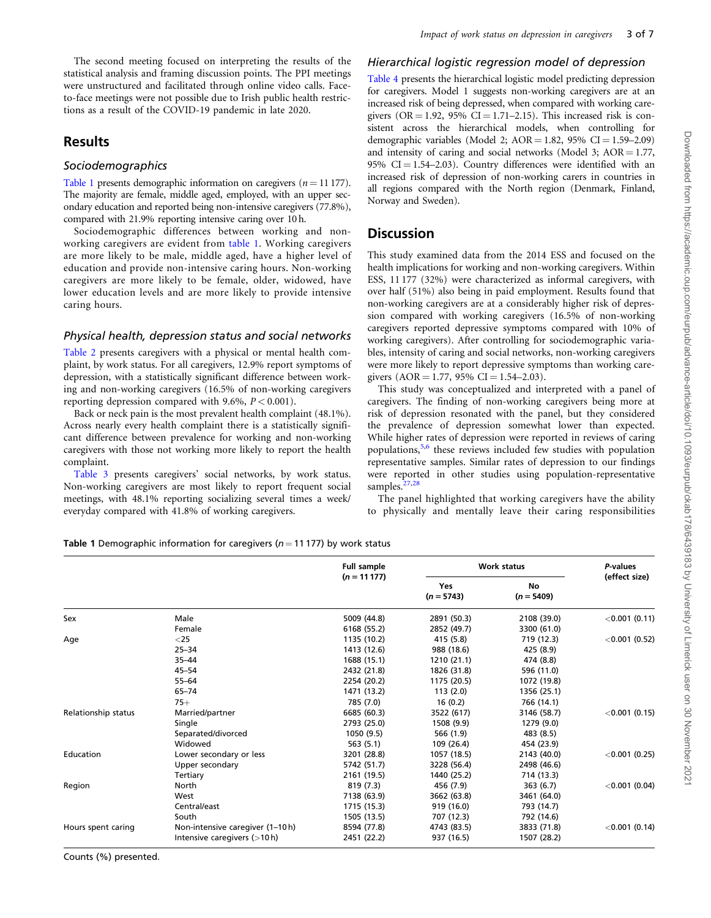<span id="page-2-0"></span>The second meeting focused on interpreting the results of the statistical analysis and framing discussion points. The PPI meetings were unstructured and facilitated through online video calls. Faceto-face meetings were not possible due to Irish public health restrictions as a result of the COVID-19 pandemic in late 2020.

### Results

#### **Sociodemographics**

Table 1 presents demographic information on caregivers  $(n = 11 177)$ . The majority are female, middle aged, employed, with an upper secondary education and reported being non-intensive caregivers (77.8%), compared with 21.9% reporting intensive caring over 10 h.

Sociodemographic differences between working and nonworking caregivers are evident from table 1. Working caregivers are more likely to be male, middle aged, have a higher level of education and provide non-intensive caring hours. Non-working caregivers are more likely to be female, older, widowed, have lower education levels and are more likely to provide intensive caring hours.

#### Physical health, depression status and social networks

[Table 2](#page-3-0) presents caregivers with a physical or mental health complaint, by work status. For all caregivers, 12.9% report symptoms of depression, with a statistically significant difference between working and non-working caregivers (16.5% of non-working caregivers reporting depression compared with 9.6%,  $P < 0.001$ ).

Back or neck pain is the most prevalent health complaint (48.1%). Across nearly every health complaint there is a statistically significant difference between prevalence for working and non-working caregivers with those not working more likely to report the health complaint.

[Table 3](#page-3-0) presents caregivers' social networks, by work status. Non-working caregivers are most likely to report frequent social meetings, with 48.1% reporting socializing several times a week/ everyday compared with 41.8% of working caregivers.

### Hierarchical logistic regression model of depression

[Table 4](#page-4-0) presents the hierarchical logistic model predicting depression for caregivers. Model 1 suggests non-working caregivers are at an increased risk of being depressed, when compared with working caregivers ( $OR = 1.92$ ,  $95\%$   $CI = 1.71-2.15$ ). This increased risk is consistent across the hierarchical models, when controlling for demographic variables (Model 2;  $AOR = 1.82$ , 95%  $CI = 1.59 - 2.09$ ) and intensity of caring and social networks (Model 3;  $AOR = 1.77$ , 95%  $CI = 1.54-2.03$ . Country differences were identified with an increased risk of depression of non-working carers in countries in all regions compared with the North region (Denmark, Finland, Norway and Sweden).

### **Discussion**

This study examined data from the 2014 ESS and focused on the health implications for working and non-working caregivers. Within ESS, 11 177 (32%) were characterized as informal caregivers, with over half (51%) also being in paid employment. Results found that non-working caregivers are at a considerably higher risk of depression compared with working caregivers (16.5% of non-working caregivers reported depressive symptoms compared with 10% of working caregivers). After controlling for sociodemographic variables, intensity of caring and social networks, non-working caregivers were more likely to report depressive symptoms than working caregivers  $(AOR = 1.77, 95\% \text{ CI} = 1.54 - 2.03)$ .

This study was conceptualized and interpreted with a panel of caregivers. The finding of non-working caregivers being more at risk of depression resonated with the panel, but they considered the prevalence of depression somewhat lower than expected. While higher rates of depression were reported in reviews of caring populations,[5](#page-5-0),[6](#page-5-0) these reviews included few studies with population representative samples. Similar rates of depression to our findings were reported in other studies using population-representative samples.<sup>[27](#page-5-0)[,28](#page-6-0)</sup>

The panel highlighted that working caregivers have the ability to physically and mentally leave their caring responsibilities

Table 1 Demographic information for caregivers ( $n = 11177$ ) by work status

|                     |                                  | <b>Full sample</b> | <b>Work status</b>         |                    | P-values         |  |
|---------------------|----------------------------------|--------------------|----------------------------|--------------------|------------------|--|
|                     |                                  | $(n = 11177)$      | <b>Yes</b><br>$(n = 5743)$ | No<br>$(n = 5409)$ | (effect size)    |  |
| Sex                 | Male                             | 5009 (44.8)        | 2891 (50.3)                | 2108 (39.0)        | $<$ 0.001 (0.11) |  |
|                     | Female                           | 6168 (55.2)        | 2852 (49.7)                | 3300 (61.0)        |                  |  |
| Age                 | $<$ 25                           | 1135 (10.2)        | 415 (5.8)                  | 719 (12.3)         | $<$ 0.001 (0.52) |  |
|                     | $25 - 34$                        | 1413 (12.6)        | 988 (18.6)                 | 425 (8.9)          |                  |  |
|                     | $35 - 44$                        | 1688 (15.1)        | 1210 (21.1)                | 474 (8.8)          |                  |  |
|                     | $45 - 54$                        | 2432 (21.8)        | 1826 (31.8)                | 596 (11.0)         |                  |  |
|                     | $55 - 64$                        | 2254 (20.2)        | 1175 (20.5)                | 1072 (19.8)        |                  |  |
|                     | $65 - 74$                        | 1471 (13.2)        | 113(2.0)                   | 1356 (25.1)        |                  |  |
|                     | $75+$                            | 785 (7.0)          | 16(0.2)                    | 766 (14.1)         |                  |  |
| Relationship status | Married/partner                  | 6685 (60.3)        | 3522 (617)                 | 3146 (58.7)        | $<$ 0.001 (0.15) |  |
|                     | Single                           | 2793 (25.0)        | 1508 (9.9)                 | 1279 (9.0)         |                  |  |
|                     | Separated/divorced               | 1050 (9.5)         | 566 (1.9)                  | 483 (8.5)          |                  |  |
|                     | Widowed                          | 563 (5.1)          | 109 (26.4)                 | 454 (23.9)         |                  |  |
| Education           | Lower secondary or less          | 3201 (28.8)        | 1057 (18.5)                | 2143 (40.0)        | $<$ 0.001 (0.25) |  |
|                     | Upper secondary                  | 5742 (51.7)        | 3228 (56.4)                | 2498 (46.6)        |                  |  |
|                     | Tertiary                         | 2161 (19.5)        | 1440 (25.2)                | 714 (13.3)         |                  |  |
| Region              | North                            | 819 (7.3)          | 456 (7.9)                  | 363(6.7)           | $<$ 0.001 (0.04) |  |
|                     | West                             | 7138 (63.9)        | 3662 (63.8)                | 3461 (64.0)        |                  |  |
|                     | Central/east                     | 1715 (15.3)        | 919 (16.0)                 | 793 (14.7)         |                  |  |
|                     | South                            | 1505 (13.5)        | 707 (12.3)                 | 792 (14.6)         |                  |  |
| Hours spent caring  | Non-intensive caregiver (1-10 h) | 8594 (77.8)        | 4743 (83.5)                | 3833 (71.8)        | $<$ 0.001 (0.14) |  |
|                     | Intensive caregivers $($ > 10 h) | 2451 (22.2)        | 937 (16.5)                 | 1507 (28.2)        |                  |  |

Counts (%) presented.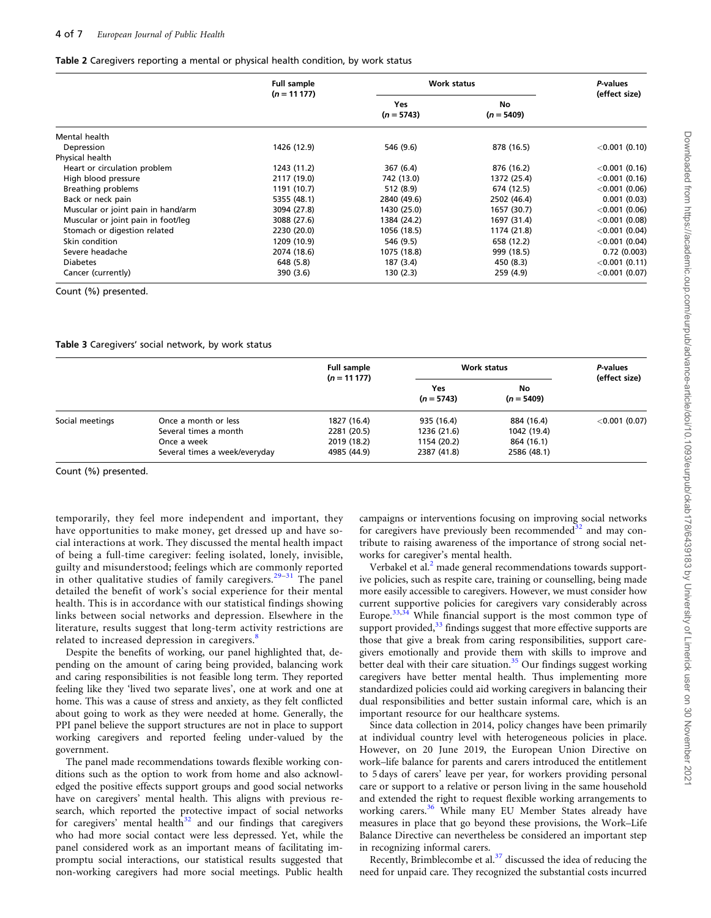#### <span id="page-3-0"></span>Table 2 Caregivers reporting a mental or physical health condition, by work status

|                                    | <b>Full sample</b><br>$(n = 11177)$ |                     | <b>Work status</b> |                  |  |
|------------------------------------|-------------------------------------|---------------------|--------------------|------------------|--|
|                                    |                                     | Yes<br>$(n = 5743)$ | No<br>$(n = 5409)$ | (effect size)    |  |
| Mental health                      |                                     |                     |                    |                  |  |
| Depression                         | 1426 (12.9)                         | 546 (9.6)           | 878 (16.5)         | $<$ 0.001 (0.10) |  |
| Physical health                    |                                     |                     |                    |                  |  |
| Heart or circulation problem       | 1243 (11.2)                         | 367 (6.4)           | 876 (16.2)         | $<$ 0.001 (0.16) |  |
| High blood pressure                | 2117 (19.0)                         | 742 (13.0)          | 1372 (25.4)        | $<$ 0.001 (0.16) |  |
| Breathing problems                 | 1191 (10.7)                         | 512 (8.9)           | 674 (12.5)         | $<$ 0.001 (0.06) |  |
| Back or neck pain                  | 5355 (48.1)                         | 2840 (49.6)         | 2502 (46.4)        | 0.001(0.03)      |  |
| Muscular or joint pain in hand/arm | 3094 (27.8)                         | 1430 (25.0)         | 1657 (30.7)        | $<$ 0.001 (0.06) |  |
| Muscular or joint pain in foot/leg | 3088 (27.6)                         | 1384 (24.2)         | 1697 (31.4)        | $<$ 0.001 (0.08) |  |
| Stomach or digestion related       | 2230 (20.0)                         | 1056 (18.5)         | 1174 (21.8)        | $<$ 0.001 (0.04) |  |
| Skin condition                     | 1209 (10.9)                         | 546 (9.5)           | 658 (12.2)         | $<$ 0.001 (0.04) |  |
| Severe headache                    | 2074 (18.6)                         | 1075 (18.8)         | 999 (18.5)         | 0.72(0.003)      |  |
| <b>Diabetes</b>                    | 648 (5.8)                           | 187 (3.4)           | 450 (8.3)          | $<$ 0.001 (0.11) |  |
| Cancer (currently)                 | 390 (3.6)                           | 130 (2.3)           | 259 (4.9)          | $<$ 0.001 (0.07) |  |

Count (%) presented.

#### Table 3 Caregivers' social network, by work status

|                 |                               | <b>Full sample</b><br>$(n = 11177)$ | Work status         | P-values           |                  |
|-----------------|-------------------------------|-------------------------------------|---------------------|--------------------|------------------|
|                 |                               |                                     | Yes<br>$(n = 5743)$ | No<br>$(n = 5409)$ | (effect size)    |
| Social meetings | Once a month or less          | 1827 (16.4)                         | 935 (16.4)          | 884 (16.4)         | $<$ 0.001 (0.07) |
|                 | Several times a month         | 2281 (20.5)                         | 1236 (21.6)         | 1042 (19.4)        |                  |
|                 | Once a week                   | 2019 (18.2)                         | 1154 (20.2)         | 864 (16.1)         |                  |
|                 | Several times a week/everyday | 4985 (44.9)                         | 2387 (41.8)         | 2586 (48.1)        |                  |

Count (%) presented.

temporarily, they feel more independent and important, they have opportunities to make money, get dressed up and have social interactions at work. They discussed the mental health impact of being a full-time caregiver: feeling isolated, lonely, invisible, guilty and misunderstood; feelings which are commonly reported in other qualitative studies of family caregivers.<sup>[29–31](#page-6-0)</sup> The panel detailed the benefit of work's social experience for their mental health. This is in accordance with our statistical findings showing links between social networks and depression. Elsewhere in the literature, results suggest that long-term activity restrictions are related to increased depression in caregivers.<sup>[8](#page-5-0)</sup>

Despite the benefits of working, our panel highlighted that, depending on the amount of caring being provided, balancing work and caring responsibilities is not feasible long term. They reported feeling like they 'lived two separate lives', one at work and one at home. This was a cause of stress and anxiety, as they felt conflicted about going to work as they were needed at home. Generally, the PPI panel believe the support structures are not in place to support working caregivers and reported feeling under-valued by the government.

The panel made recommendations towards flexible working conditions such as the option to work from home and also acknowledged the positive effects support groups and good social networks have on caregivers' mental health. This aligns with previous research, which reported the protective impact of social networks for caregivers' mental health $32$  and our findings that caregivers who had more social contact were less depressed. Yet, while the panel considered work as an important means of facilitating impromptu social interactions, our statistical results suggested that non-working caregivers had more social meetings. Public health

campaigns or interventions focusing on improving social networks for caregivers have previously been recommended $32$  and may contribute to raising awareness of the importance of strong social networks for caregiver's mental health.

Verbakel et al.<sup>2</sup> made general recommendations towards supportive policies, such as respite care, training or counselling, being made more easily accessible to caregivers. However, we must consider how current supportive policies for caregivers vary considerably across Europe. $33,34$  While financial support is the most common type of support provided, $33$  findings suggest that more effective supports are those that give a break from caring responsibilities, support caregivers emotionally and provide them with skills to improve and better deal with their care situation. $35$  Our findings suggest working caregivers have better mental health. Thus implementing more standardized policies could aid working caregivers in balancing their dual responsibilities and better sustain informal care, which is an important resource for our healthcare systems.

Since data collection in 2014, policy changes have been primarily at individual country level with heterogeneous policies in place. However, on 20 June 2019, the European Union Directive on work–life balance for parents and carers introduced the entitlement to 5 days of carers' leave per year, for workers providing personal care or support to a relative or person living in the same household and extended the right to request flexible working arrangements to working carers.<sup>[36](#page-6-0)</sup> While many EU Member States already have measures in place that go beyond these provisions, the Work–Life Balance Directive can nevertheless be considered an important step in recognizing informal carers.

Recently, Brimblecombe et al.[37](#page-6-0) discussed the idea of reducing the need for unpaid care. They recognized the substantial costs incurred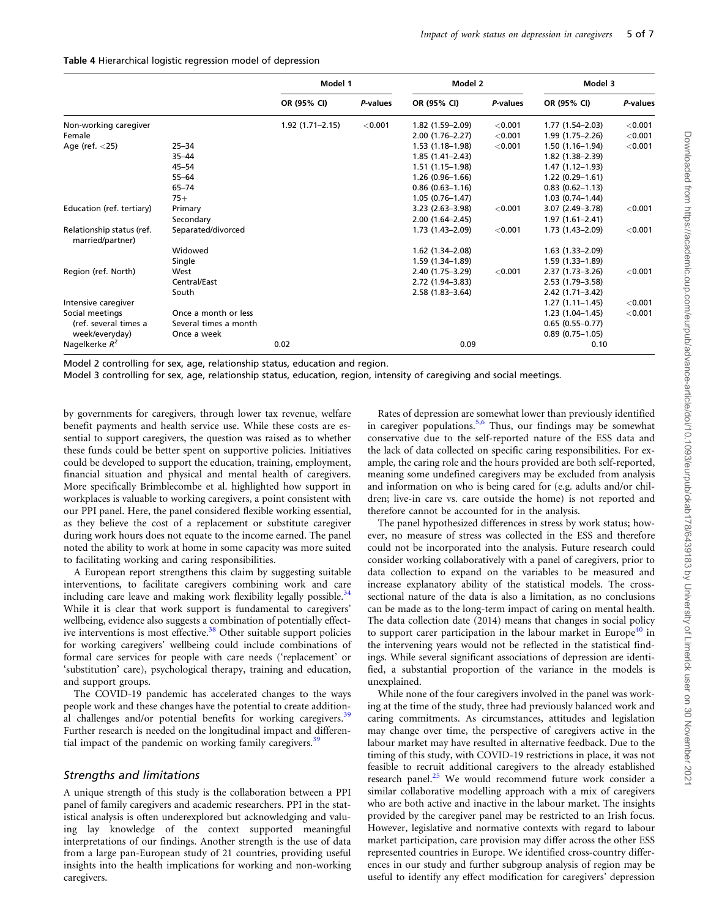<span id="page-4-0"></span>

| Table 4 Hierarchical logistic regression model of depression |  |  |  |
|--------------------------------------------------------------|--|--|--|
|--------------------------------------------------------------|--|--|--|

|                                               |                       | Model 1             |          | Model 2             |            | Model 3             |          |
|-----------------------------------------------|-----------------------|---------------------|----------|---------------------|------------|---------------------|----------|
|                                               |                       | OR (95% CI)         | P-values | OR (95% CI)         | P-values   | OR (95% CI)         | P-values |
| Non-working caregiver                         |                       | $1.92(1.71 - 2.15)$ | < 0.001  | 1.82 (1.59-2.09)    | ${<}0.001$ | 1.77 (1.54–2.03)    | < 0.001  |
| Female                                        |                       |                     |          | $2.00(1.76 - 2.27)$ | < 0.001    | 1.99 (1.75-2.26)    | < 0.001  |
| Age (ref. $<$ 25)                             | $25 - 34$             |                     |          | $1.53(1.18-1.98)$   | < 0.001    | $1.50(1.16-1.94)$   | < 0.001  |
|                                               | $35 - 44$             |                     |          | $1.85(1.41 - 2.43)$ |            | 1.82 (1.38-2.39)    |          |
|                                               | $45 - 54$             |                     |          | $1.51(1.15-1.98)$   |            | $1.47(1.12 - 1.93)$ |          |
|                                               | $55 - 64$             |                     |          | $1.26(0.96-1.66)$   |            | $1.22(0.29 - 1.61)$ |          |
|                                               | $65 - 74$             |                     |          | $0.86(0.63 - 1.16)$ |            | $0.83(0.62 - 1.13)$ |          |
|                                               | $75+$                 |                     |          | $1.05(0.76 - 1.47)$ |            | $1.03(0.74 - 1.44)$ |          |
| Education (ref. tertiary)                     | Primary               |                     |          | $3.23(2.63 - 3.98)$ | < 0.001    | 3.07 (2.49-3.78)    | < 0.001  |
|                                               | Secondary             |                     |          | $2.00(1.64 - 2.45)$ |            | $1.97(1.61 - 2.41)$ |          |
| Relationship status (ref.<br>married/partner) | Separated/divorced    |                     |          | 1.73 (1.43-2.09)    | < 0.001    | 1.73 (1.43-2.09)    | < 0.001  |
|                                               | Widowed               |                     |          | 1.62 (1.34-2.08)    |            | $1.63(1.33 - 2.09)$ |          |
|                                               | Single                |                     |          | 1.59 (1.34-1.89)    |            | 1.59 (1.33-1.89)    |          |
| Region (ref. North)                           | West                  |                     |          | 2.40 (1.75-3.29)    | < 0.001    | 2.37 (1.73-3.26)    | < 0.001  |
|                                               | Central/East          |                     |          | 2.72 (1.94-3.83)    |            | 2.53 (1.79-3.58)    |          |
|                                               | South                 |                     |          | $2.58(1.83 - 3.64)$ |            | 2.42 (1.71-3.42)    |          |
| Intensive caregiver                           |                       |                     |          |                     |            | $1.27(1.11 - 1.45)$ | < 0.001  |
| Social meetings                               | Once a month or less  |                     |          |                     |            | $1.23(1.04-1.45)$   | < 0.001  |
| (ref. several times a                         | Several times a month |                     |          |                     |            | $0.65(0.55 - 0.77)$ |          |
| week/everyday)                                | Once a week           |                     |          |                     |            | $0.89(0.75 - 1.05)$ |          |
| Nagelkerke $R^2$                              |                       | 0.02                |          | 0.09                |            | 0.10                |          |

Model 2 controlling for sex, age, relationship status, education and region.

Model 3 controlling for sex, age, relationship status, education, region, intensity of caregiving and social meetings.

by governments for caregivers, through lower tax revenue, welfare benefit payments and health service use. While these costs are essential to support caregivers, the question was raised as to whether these funds could be better spent on supportive policies. Initiatives could be developed to support the education, training, employment, financial situation and physical and mental health of caregivers. More specifically Brimblecombe et al. highlighted how support in workplaces is valuable to working caregivers, a point consistent with our PPI panel. Here, the panel considered flexible working essential, as they believe the cost of a replacement or substitute caregiver during work hours does not equate to the income earned. The panel noted the ability to work at home in some capacity was more suited to facilitating working and caring responsibilities.

A European report strengthens this claim by suggesting suitable interventions, to facilitate caregivers combining work and care including care leave and making work flexibility legally possible. $34$ While it is clear that work support is fundamental to caregivers' wellbeing, evidence also suggests a combination of potentially effect-ive interventions is most effective.<sup>[38](#page-6-0)</sup> Other suitable support policies for working caregivers' wellbeing could include combinations of formal care services for people with care needs ('replacement' or 'substitution' care), psychological therapy, training and education, and support groups.

The COVID-19 pandemic has accelerated changes to the ways people work and these changes have the potential to create addition-al challenges and/or potential benefits for working caregivers.<sup>[39](#page-6-0)</sup> Further research is needed on the longitudinal impact and differen-tial impact of the pandemic on working family caregivers.<sup>[39](#page-6-0)</sup>

#### Strengths and limitations

A unique strength of this study is the collaboration between a PPI panel of family caregivers and academic researchers. PPI in the statistical analysis is often underexplored but acknowledging and valuing lay knowledge of the context supported meaningful interpretations of our findings. Another strength is the use of data from a large pan-European study of 21 countries, providing useful insights into the health implications for working and non-working caregivers.

Rates of depression are somewhat lower than previously identified in caregiver populations.<sup>[5,6](#page-5-0)</sup> Thus, our findings may be somewhat conservative due to the self-reported nature of the ESS data and the lack of data collected on specific caring responsibilities. For example, the caring role and the hours provided are both self-reported, meaning some undefined caregivers may be excluded from analysis and information on who is being cared for (e.g. adults and/or children; live-in care vs. care outside the home) is not reported and therefore cannot be accounted for in the analysis.

The panel hypothesized differences in stress by work status; however, no measure of stress was collected in the ESS and therefore could not be incorporated into the analysis. Future research could consider working collaboratively with a panel of caregivers, prior to data collection to expand on the variables to be measured and increase explanatory ability of the statistical models. The crosssectional nature of the data is also a limitation, as no conclusions can be made as to the long-term impact of caring on mental health. The data collection date (2014) means that changes in social policy to support carer participation in the labour market in Europe<sup>40</sup> in the intervening years would not be reflected in the statistical findings. While several significant associations of depression are identified, a substantial proportion of the variance in the models is unexplained.

While none of the four caregivers involved in the panel was working at the time of the study, three had previously balanced work and caring commitments. As circumstances, attitudes and legislation may change over time, the perspective of caregivers active in the labour market may have resulted in alternative feedback. Due to the timing of this study, with COVID-19 restrictions in place, it was not feasible to recruit additional caregivers to the already established research panel.<sup>[25](#page-5-0)</sup> We would recommend future work consider a similar collaborative modelling approach with a mix of caregivers who are both active and inactive in the labour market. The insights provided by the caregiver panel may be restricted to an Irish focus. However, legislative and normative contexts with regard to labour market participation, care provision may differ across the other ESS represented countries in Europe. We identified cross-country differences in our study and further subgroup analysis of region may be useful to identify any effect modification for caregivers' depression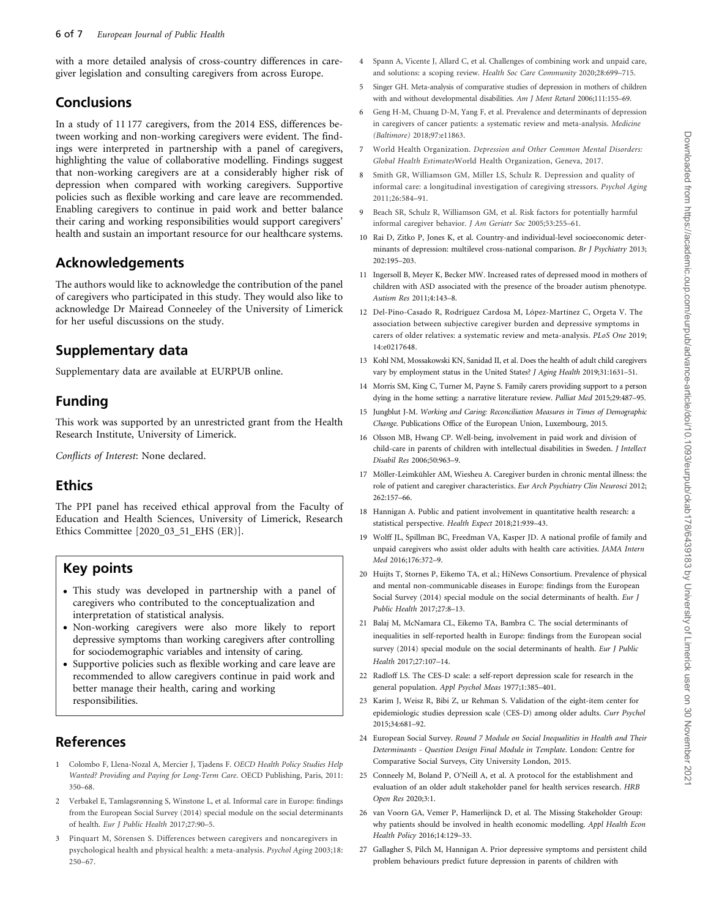<span id="page-5-0"></span>with a more detailed analysis of cross-country differences in caregiver legislation and consulting caregivers from across Europe.

# Conclusions

In a study of 11 177 caregivers, from the 2014 ESS, differences between working and non-working caregivers were evident. The findings were interpreted in partnership with a panel of caregivers, highlighting the value of collaborative modelling. Findings suggest that non-working caregivers are at a considerably higher risk of depression when compared with working caregivers. Supportive policies such as flexible working and care leave are recommended. Enabling caregivers to continue in paid work and better balance their caring and working responsibilities would support caregivers' health and sustain an important resource for our healthcare systems.

# Acknowledgements

The authors would like to acknowledge the contribution of the panel of caregivers who participated in this study. They would also like to acknowledge Dr Mairead Conneeley of the University of Limerick for her useful discussions on the study.

### Supplementary data

Supplementary data are available at EURPUB online.

# Funding

This work was supported by an unrestricted grant from the Health Research Institute, University of Limerick.

Conflicts of Interest: None declared.

# Ethics

The PPI panel has received ethical approval from the Faculty of Education and Health Sciences, University of Limerick, Research Ethics Committee [2020\_03\_51\_EHS (ER)].

### Key points

- This study was developed in partnership with a panel of caregivers who contributed to the conceptualization and interpretation of statistical analysis.
- Non-working caregivers were also more likely to report depressive symptoms than working caregivers after controlling for sociodemographic variables and intensity of caring.
- Supportive policies such as flexible working and care leave are recommended to allow caregivers continue in paid work and better manage their health, caring and working responsibilities.

# References

- [1](#page-0-0) Colombo F, Llena-Nozal A, Mercier J, Tjadens F. OECD Health Policy Studies Help Wanted? Providing and Paying for Long-Term Care. OECD Publishing, Paris, 2011: 350–68.
- [2](#page-0-0) Verbakel E, Tamlagsrønning S, Winstone L, et al. Informal care in Europe: findings from the European Social Survey (2014) special module on the social determinants of health. Eur J Public Health 2017;27:90–5.
- [3](#page-0-0) Pinquart M, Sörensen S. Differences between caregivers and noncaregivers in psychological health and physical health: a meta-analysis. Psychol Aging 2003;18: 250–67.
- [4](#page-0-0) Spann A, Vicente J, Allard C, et al. Challenges of combining work and unpaid care, and solutions: a scoping review. Health Soc Care Community 2020;28:699–715.
- [5](#page-0-0) Singer GH. Meta-analysis of comparative studies of depression in mothers of children with and without developmental disabilities. Am J Ment Retard 2006;111:155-69.
- [6](#page-0-0) Geng H-M, Chuang D-M, Yang F, et al. Prevalence and determinants of depression in caregivers of cancer patients: a systematic review and meta-analysis. Medicine (Baltimore) 2018;97:e11863.
- [7](#page-0-0) World Health Organization. Depression and Other Common Mental Disorders: Global Health EstimatesWorld Health Organization, Geneva, 2017.
- [8](#page-0-0) Smith GR, Williamson GM, Miller LS, Schulz R. Depression and quality of informal care: a longitudinal investigation of caregiving stressors. Psychol Aging 2011;26:584–91.
- [9](#page-0-0) Beach SR, Schulz R, Williamson GM, et al. Risk factors for potentially harmful informal caregiver behavior. J Am Geriatr Soc 2005;53:255–61.
- [10](#page-0-0) Rai D, Zitko P, Jones K, et al. Country-and individual-level socioeconomic determinants of depression: multilevel cross-national comparison. Br J Psychiatry 2013; 202:195–203.
- [11](#page-0-0) Ingersoll B, Meyer K, Becker MW. Increased rates of depressed mood in mothers of children with ASD associated with the presence of the broader autism phenotype. Autism Res 2011;4:143–8.
- [12](#page-0-0) Del-Pino-Casado R, Rodríguez Cardosa M, López-Martínez C, Orgeta V. The association between subjective caregiver burden and depressive symptoms in carers of older relatives: a systematic review and meta-analysis. PLoS One 2019; 14:e0217648.
- [13](#page-0-0) Kohl NM, Mossakowski KN, Sanidad II, et al. Does the health of adult child caregivers vary by employment status in the United States? *J Aging Health* 2019;31:1631-51.
- [14](#page-0-0) Morris SM, King C, Turner M, Payne S. Family carers providing support to a person dying in the home setting: a narrative literature review. Palliat Med 2015;29:487–95.
- [15](#page-0-0) Jungblut J-M. Working and Caring: Reconciliation Measures in Times of Demographic Change. Publications Office of the European Union, Luxembourg, 2015.
- [16](#page-0-0) Olsson MB, Hwang CP. Well-being, involvement in paid work and division of child-care in parents of children with intellectual disabilities in Sweden. J Intellect Disabil Res 2006;50:963–9.
- [17](#page-0-0) Möller-Leimkühler AM, Wiesheu A. Caregiver burden in chronic mental illness: the role of patient and caregiver characteristics. Eur Arch Psychiatry Clin Neurosci 2012; 262:157–66.
- [18](#page-0-0) Hannigan A. Public and patient involvement in quantitative health research: a statistical perspective. Health Expect 2018;21:939–43.
- [19](#page-0-0) Wolff JL, Spillman BC, Freedman VA, Kasper JD. A national profile of family and unpaid caregivers who assist older adults with health care activities. JAMA Intern Med 2016;176:372–9.
- [20](#page-1-0) Huijts T, Stornes P, Eikemo TA, et al.; HiNews Consortium. Prevalence of physical and mental non-communicable diseases in Europe: findings from the European Social Survey (2014) special module on the social determinants of health. Eur J Public Health 2017;27:8–13.
- [21](#page-1-0) Balaj M, McNamara CL, Eikemo TA, Bambra C. The social determinants of inequalities in self-reported health in Europe: findings from the European social survey (2014) special module on the social determinants of health. Eur J Public Health 2017;27:107–14.
- [22](#page-1-0) Radloff LS. The CES-D scale: a self-report depression scale for research in the general population. Appl Psychol Meas 1977;1:385–401.
- [23](#page-1-0) Karim J, Weisz R, Bibi Z, ur Rehman S. Validation of the eight-item center for epidemiologic studies depression scale (CES-D) among older adults. Curr Psychol 2015;34:681–92.
- [24](#page-1-0) European Social Survey. Round 7 Module on Social Inequalities in Health and Their Determinants - Question Design Final Module in Template. London: Centre for Comparative Social Surveys, City University London, 2015.
- [25](#page-1-0) Conneely M, Boland P, O'Neill A, et al. A protocol for the establishment and evaluation of an older adult stakeholder panel for health services research. HRB Open Res 2020;3:1.
- [26](#page-1-0) van Voorn GA, Vemer P, Hamerlijnck D, et al. The Missing Stakeholder Group: why patients should be involved in health economic modelling. Appl Health Econ Health Policy 2016;14:129–33.
- [27](#page-2-0) Gallagher S, Pilch M, Hannigan A. Prior depressive symptoms and persistent child problem behaviours predict future depression in parents of children with